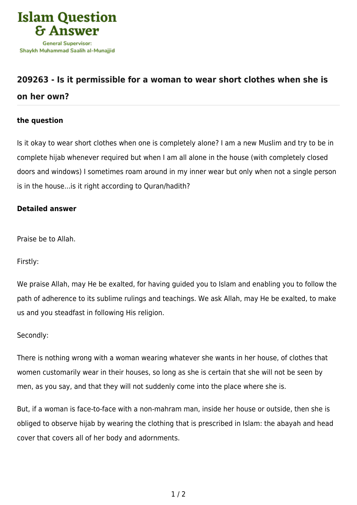

## **[209263 - Is it permissible for a woman to wear short clothes when she is](https://islamqa.com/en/answers/209263/is-it-permissible-for-a-woman-to-wear-short-clothes-when-she-is-on-her-own) [on her own?](https://islamqa.com/en/answers/209263/is-it-permissible-for-a-woman-to-wear-short-clothes-when-she-is-on-her-own)**

## **the question**

Is it okay to wear short clothes when one is completely alone? I am a new Muslim and try to be in complete hijab whenever required but when I am all alone in the house (with completely closed doors and windows) I sometimes roam around in my inner wear but only when not a single person is in the house...is it right according to Quran/hadith?

## **Detailed answer**

Praise be to Allah.

Firstly:

We praise Allah, may He be exalted, for having guided you to Islam and enabling you to follow the path of adherence to its sublime rulings and teachings. We ask Allah, may He be exalted, to make us and you steadfast in following His religion.

Secondly:

There is nothing wrong with a woman wearing whatever she wants in her house, of clothes that women customarily wear in their houses, so long as she is certain that she will not be seen by men, as you say, and that they will not suddenly come into the place where she is.

But, if a woman is face-to-face with a non-mahram man, inside her house or outside, then she is obliged to observe hijab by wearing the clothing that is prescribed in Islam: the abayah and head cover that covers all of her body and adornments.